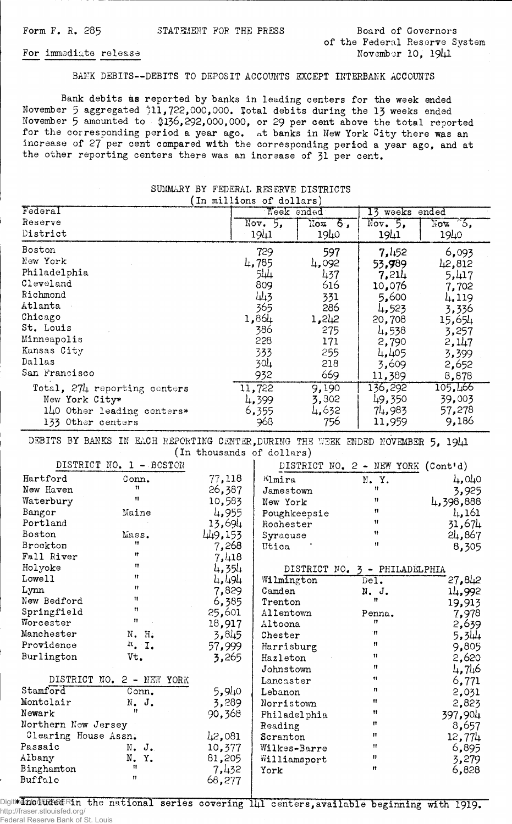Form F. R. 285 STATEMENT FOR THE PRESS Board of Governors

of the Federal Reserve System For immediate release November 10, 1941

## BAMK DEBITS--DEBITS TO DEPOSIT ACCOUNTS EXCEPT INTERBANK ACCOUNTS

Bank debits as reported by banks in leading centers for the week ended November 5 aggregated '1)11,722,000,000. Total debits during the 13 weeks ended November 5 amounted to \$136,292,000,000, or 29 per cent above the total reported for the corresponding period a year ago. At banks in New York City there was an increase of 27 per cent compared with the corresponding period a year ago, and at the other reporting centers there was an increase of 31 per cent.

| (In millions of dollars)     |                   |        |                |                           |  |
|------------------------------|-------------------|--------|----------------|---------------------------|--|
| Federal                      | Week ended        |        | 13 weeks ended |                           |  |
| Reserve                      | $\text{Nov. } 5.$ | Nox 6, | Nov. 5.        | $\sqrt{\text{Not}}$ $6$ , |  |
| District                     | 1941              | 1940   | 1941           | 1940                      |  |
| Boston                       | 729               | 597    | 7,452          | 6,093                     |  |
| New York                     | 4,785             | 4,092  | 53,989         | 42,812                    |  |
| Philadelphia                 | 544               | 437    | 7,214          | 5,417                     |  |
| Cleveland                    | 809               | 616    | 10,076         | 7,702                     |  |
| Richmond                     | 443               | 331    | 5,600          | 4,119                     |  |
| Atlanta                      | 365               | 286    | 4,523          | 3,336                     |  |
| Chicago                      | 1,864             | 1,242  | 20,708         | 15,654                    |  |
| St. Louis                    | 386               | 275    | 4,538          | 3,257                     |  |
| Minneapolis                  | 228               | 171    | 2,790          | 2,147                     |  |
| Kansas City                  | 333               | 255    | 4,405          | 3,399                     |  |
| Dallas                       | 304               | 218    | 3,609          | 2,652                     |  |
| San Francisco                | 932               | 669    | 11,389         | 8,878                     |  |
| Total, 274 reporting centers | 11,722            | 9,190  | 136,292        | 105,466                   |  |
| New York City*               | 4,399             | 3,802  | 49,350         | 39,003                    |  |
| 140 Other leading centers*   | 6,355             | 4,632  | 74,983         | 57,278                    |  |
| 133 Other centers            | 968               | 756    | 11,959         | 9,186                     |  |

## SUMMARY BY FEDERAL RESERVE DISTRICTS

DEBITS BY BANKS IN EACH REPORTING CENTER, DURING THE WEEK ENDED NOVEMBER 5, 1941 (In thousands of dollars)

| DISTRICT NO. 1 - BOSTON   |              |           | DISTRICT NO. 2 - NEW YORK (Cont'd) |                           |              |
|---------------------------|--------------|-----------|------------------------------------|---------------------------|--------------|
| Hartford                  | Conn.        | 77,118    | Elmira                             | N.Y.                      | 4,040        |
| New Haven                 | 11.          | 26,387    | Jamestown                          | 11                        | 3,925        |
| Waterbury                 | $^{\dagger}$ | 10,583    | New York                           | $^{\bullet}$              | 4,398,888    |
| Bangor                    | Maine        | 4,955     | Poughkeepsie                       | 11                        | $l_{+}, 161$ |
| Portland                  |              | 13,694    | Rochester                          | 11                        | 31,674       |
| Boston                    | Mass.        | 449,153   | Syracuse                           | Ħ                         | 24,867       |
| Brockton                  | 11           | 7,268     | Utica                              | $\mathbf{H}$              | 8,305        |
| Fall River                | Ħ            | 7,418     |                                    |                           |              |
| Holyoke                   | Ħ            | 4,354     | DISTRICT NO. 3<br>- PHILADELPHIA   |                           |              |
| Lowe11                    | 11           | 4,494     | Wilmington                         | $\overline{\text{Del}}$ . | 27,812       |
| Lynn                      | Ħ            | 7,829     | Camden                             | N. J.                     | 14,992       |
| New Bedford               | Ħ            | 6,385     | Trenton                            | 11                        | 19,913       |
| Springfield               | Ħ            | 25,601    | Allentown                          | Penna.                    | 7,978        |
| Worcester                 | Ħ            | 18,917    | Altoona                            | 11.                       | 2,639        |
| Manchester                | N. H.        | 3,845     | Chester                            | n                         | 5,344        |
| Providence                | $\mu$ . I.   | 57,999    | Harrisburg                         | Ħ                         | 9,805        |
| Burlington                | Vt.          | 3,265     | Hazleton                           | $\mathbf{H}$              | 2,620        |
|                           |              |           | Johnstown                          | Ħ                         | 4,746        |
| DISTRICT NO. 2 - NEW YORK |              | Lancaster | Ħ                                  | 6,771                     |              |
| Stamford                  | Conn.        | 5,940     | Lebanon                            | Ħ                         | 2,031        |
| Montclair                 | N. J.        | 3,289     | Norristown                         | Ħ                         | 2,823        |
| Newark                    | 11           | 90,368    | Philadelphia                       | $^{\bullet}$              | 397,904      |
| Northern New Jersey       |              | Reading   | $\mathbf{H}$                       | 8,657                     |              |
| Clearing House Assn.      |              | 42,081    | Scranton                           | $^{\bullet}$              | 12,774       |
| Passaic                   | $N$ , $J$ .  | 10,377    | Wilkes-Barre                       | Ħ                         | 6,895        |
| Albany                    | N.Y.         | 81,205    | Williamsport                       | $\pmb{\mathfrak{m}}$      | 3,279        |
| Binghamton                | Ħ            | 7,432     | York                               | n                         | 6,828        |
| Buffalo                   | $^{\bullet}$ | 68,277    |                                    |                           |              |

Digitized noducled Rin the national series covering  $1\mu 1$  centers, available beginning with 1919. http://fraser.stlouisfed.org/ Federal Reserve Bank of St. Louis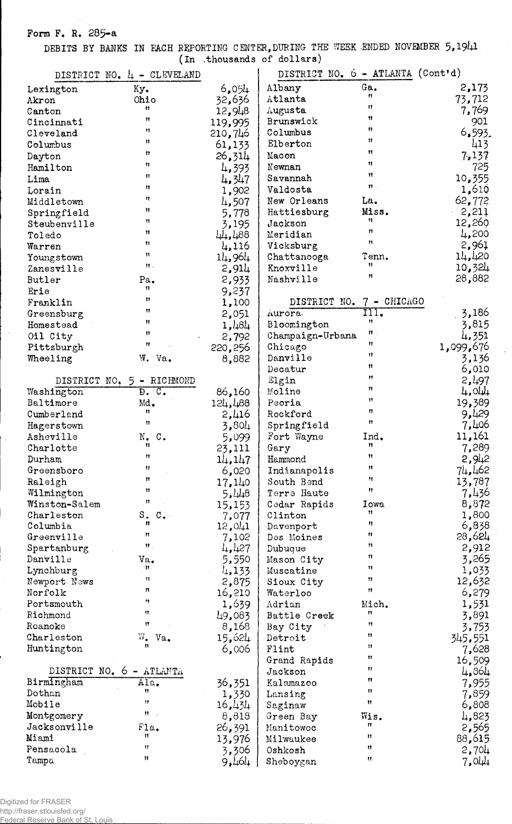**Form F. R. 285-a** 

 $\mathbb{R}^2$ 

DEBITS BY BANKS IN EACH REPORTING CENTER,DURING THE WEEK ENDED NOVEMBER 5,191+1 (In .thousands of dollars)

|               | DISTRICT NO. 4 - CLEVELAND            |         | DISTRICT NO. 6 - ATLANTA (Cont'd) |                      |           |
|---------------|---------------------------------------|---------|-----------------------------------|----------------------|-----------|
| Lexington     | Ky.                                   | 6,054   | Albany                            | Ga.                  | 2,173     |
| Akron         | Ohio                                  | 32,636  | Atlanta                           | Ħ                    | 73,712    |
| Canton        | Ħ                                     | 12,948  | Augusta                           | 11                   | 7,769     |
| Cincinnati    | Ħ                                     | 119,995 | Brunswick                         | 11                   | 901       |
| Cleveland     | Ħ                                     | 210,746 | Columbus                          | n                    | 6,593.    |
| Columbus      | 11                                    | 61,133  | Elberton                          | Ħ                    | 413       |
|               | Ħ                                     |         | Macon                             | n                    | 7.137     |
| Dayton        | Ħ                                     | 26,314  |                                   | 11                   |           |
| Hamilton      | Ħ                                     | 4,393   | Newnan                            | Ħ                    | 725       |
| Lima          | Ħ                                     | 4,347   | Savannah                          | $\mathbf{H}$ .       | 10,355    |
| Lorain        | n                                     | 1,902   | Valdosta                          |                      | 1,610     |
| Middletown    |                                       | 4,507   | New Orleans                       | La.                  | 62,772    |
| Springfield   | Ħ                                     | 5,778   | Hattiesburg                       | Miss.                | 2,211     |
| Steubenville  | 11                                    | 3,195   | Jackson                           | Ħ                    | 12,260    |
| Toledo        | 11                                    | 44,488  | Meridian                          | $\mathbf{H}$         | 4,200     |
| Warren        | Ħ                                     | 4,116   | Vicksburg                         | Ħ                    | 2,961     |
| Youngstown    | Ħ                                     | 14,964  | Chattanooga                       | Tenn.                | 14,420    |
| Zanesville    | 材.                                    | 2,914   | Knoxville                         | Ħ                    | 10,324    |
| Butler        | Pa.                                   | 2,933   | Nashville                         | $\mathbf{H}$         | 28,882    |
| Erie          | 11                                    | 9,237   |                                   |                      |           |
| Franklin      | 11                                    | 1,100   | DISTRICT NO.                      | 7 - CHICAGO          |           |
| Greensburg    | 11                                    | 2,051   | Aurora.                           | m.                   | 3,186     |
| Homestead     | Ħ                                     |         | Bloomington                       | Ħ                    | 3,815     |
|               | Ħ                                     | 1,484   |                                   | n                    |           |
| Oil City      | Ħ                                     | 2,792   | Champaign-Urbana                  | 11                   | 4,351     |
| Pittsburgh    |                                       | 220,256 | Chicago                           | 11                   | 1,099,676 |
| Wheeling      | W. Va.                                | 8,882   | Danville                          | Ħ                    | 3,136     |
|               |                                       |         | Decatur                           | Ħ                    | 6,010     |
|               | DISTRICT NO. 5 - RICHMOND             |         | Elgin                             | n                    | 2,497     |
| Washington    | $\overline{D}$ . $C$ .                | 86,160  | Moline                            |                      | 4,044     |
| Baltimore     | Md.                                   | 124,488 | Peoria                            | Ħ                    | 19,389    |
| Cumberland    | Ħ                                     | 2,416   | Rockford                          | Ħ                    | 9,429     |
| Hagerstown    | Ħ                                     | 3,804   | Springfield                       | $\mathbf{H}$         | 7,406     |
| Asheville     | $N_{\bullet}$ C.                      | 5,099   | Fort Wayne                        | Ind.                 | 11,161    |
| Charlotte     | Ħ                                     | 23,111  | Gary                              | n                    | 7,289     |
| Durham        | $\mathbf{H}$                          | 14, 147 | Hammond                           | n                    | 2,942     |
| Greensboro    | Ħ                                     | 6,020   | Indianapolis                      | Ħ                    | 74,462    |
| Raleigh       | Ħ                                     | 17,140  | South Bend                        | 11                   | 13,787    |
| Wilmington    | 11                                    | 5,448   | Terre Haute                       | Ħ                    | 7,436     |
| Winston-Salem | n                                     | 15,153  | Cedar Rapids                      | <b>Iowa</b>          | 8,872     |
| Charleston    | ${\tt S}$ .<br>$\mathbf{C}_{\bullet}$ | 7,077   | Clinton                           | Ħ                    | 1,800     |
| Columbia      | n                                     | 12,041  | Davenport                         | Ħ                    | 6,838     |
| Greenville    | Ħ                                     | 7,102   |                                   | Ħ                    | 28,624    |
|               | $\mathbf{H}$ .                        |         | Des Moines                        | n                    | 2,912     |
| Spartanburg   |                                       | 427     | Dubuque                           | Ħ                    | 3,265     |
| Danville      | Va.<br>Ħ                              | 5,550   | Mason City                        | 11                   |           |
| Lynchburg     | 11                                    | 4,133   | Muscatine                         | Ħ                    | 1,033     |
| Newport News  | $\boldsymbol{n}$                      | 2,875   | Sioux City                        | Ħ                    | 12,632    |
| Norfolk       | Ħ                                     | 16,210  | Waterloo                          |                      | 6,279     |
| Portsmouth    |                                       | 1,639   | Adrian                            | Mich.                | 1,531     |
| Richmond      | Ħ                                     | 49,083  | Battle Creek                      | Ħ                    | 3,891     |
| Roanoke       | n                                     | 8,168   | Bay City                          | Ħ                    | 3,753     |
| Charleston    | $\overline{w}_{\bullet}$<br>Va.       | 15,624  | Detroit                           | Ħ                    | 345,551   |
| Huntington    | $^{\dagger}$                          | 6,006   | Flint                             | n                    | 7,628     |
|               |                                       |         | Grand Rapids                      | Ħ                    | 16,509    |
|               | DISTRICT NO. 6 - ATLANTA              |         | Jackson                           | n                    | 4,864     |
| Birmingham    | $\overline{\mathtt{Ala}}$ .           | 36,351  | Kalamazoo                         | Ħ                    | 7,955     |
| Dothan        | Ħ                                     | 1,330   | Lansing                           | n                    | 7,859     |
| Mobile        | 11                                    | 16,434  | Saginaw                           | $\pmb{\mathfrak{m}}$ | 6,808     |
| Montgomery    | Ħ                                     | 8,818   | Green Bay                         | Wis.                 | 4,823     |
| Jacksonville  | Fla.                                  | 26,391  | Manitowoc                         | Ħ                    | 2,565     |
| Miami         | 11                                    |         | Milwaukee                         | Ħ                    |           |
| Pensacola     | Ħ                                     | 13,976  |                                   | Ħ                    | 88,615    |
|               | Ħ                                     | 3,306   | Oshkosh                           | Ħ                    | 2,704     |
| Tampa         |                                       | 9,464   | Sheboygan                         |                      | 7,044     |

 $\ddot{\phantom{a}}$